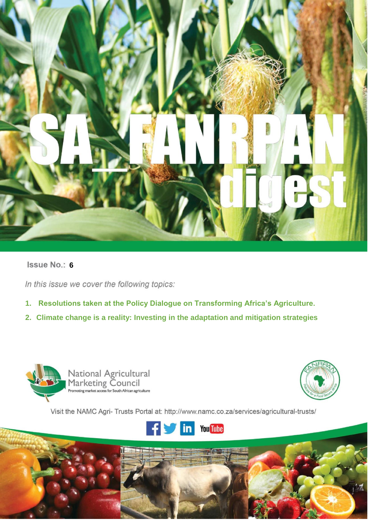

# **Issue No.: 6**

In this issue we cover the following topics:

- **1. Resolutions taken at the Policy Dialogue on Transforming Africa's Agriculture.**
- **2. Climate change is a reality: Investing in the adaptation and mitigation strategies**



**1 |** P a g e **i**



Visit the NAMC Agri- Trusts Portal at: http://www.namc.co.za/services/agricultural-trusts/

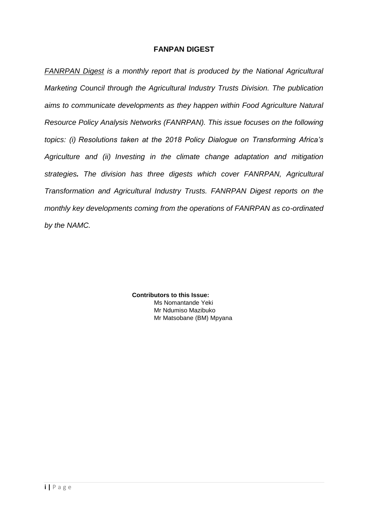## **FANPAN DIGEST**

*FANRPAN Digest is a monthly report that is produced by the National Agricultural Marketing Council through the Agricultural Industry Trusts Division. The publication aims to communicate developments as they happen within Food Agriculture Natural Resource Policy Analysis Networks (FANRPAN). This issue focuses on the following topics: (i) Resolutions taken at the 2018 Policy Dialogue on Transforming Africa's Agriculture and (ii) Investing in the climate change adaptation and mitigation strategies. The division has three digests which cover FANRPAN, Agricultural Transformation and Agricultural Industry Trusts. FANRPAN Digest reports on the monthly key developments coming from the operations of FANRPAN as co-ordinated by the NAMC.* 

> **Contributors to this Issue:**  Ms Nomantande Yeki Mr Ndumiso Mazibuko Mr Matsobane (BM) Mpyana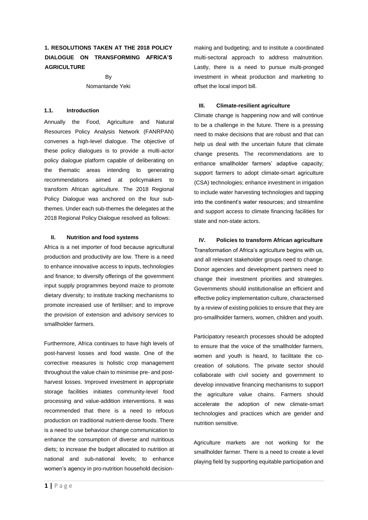## **1. RESOLUTIONS TAKEN AT THE 2018 POLICY DIALOGUE ON TRANSFORMING AFRICA'S AGRICULTURE**

By

### Nomantande Yeki

### **1.1. Introduction**

Annually the Food, Agriculture and Natural Resources Policy Analysis Network (FANRPAN) convenes a high-level dialogue. The objective of these policy dialogues is to provide a multi-actor policy dialogue platform capable of deliberating on the thematic areas intending to generating recommendations aimed at policymakers to transform African agriculture. The 2018 Regional Policy Dialogue was anchored on the four subthemes. Under each sub-themes the delegates at the 2018 Regional Policy Dialogue resolved as follows:

#### **II. Nutrition and food systems**

Africa is a net importer of food because agricultural production and productivity are low. There is a need to enhance innovative access to inputs, technologies and finance; to diversify offerings of the government input supply programmes beyond maize to promote dietary diversity; to institute tracking mechanisms to promote increased use of fertiliser; and to improve the provision of extension and advisory services to smallholder farmers.

Furthermore, Africa continues to have high levels of post-harvest losses and food waste. One of the corrective measures is holistic crop management throughout the value chain to minimise pre- and postharvest losses. Improved investment in appropriate storage facilities initiates community-level food processing and value-addition interventions. It was recommended that there is a need to refocus production on traditional nutrient-dense foods. There is a need to use behaviour change communication to enhance the consumption of diverse and nutritious diets; to increase the budget allocated to nutrition at national and sub-national levels; to enhance women's agency in pro-nutrition household decisionmaking and budgeting; and to institute a coordinated multi-sectoral approach to address malnutrition. Lastly, there is a need to pursue multi-pronged investment in wheat production and marketing to offset the local import bill.

### **III. Climate-resilient agriculture**

Climate change is happening now and will continue to be a challenge in the future. There is a pressing need to make decisions that are robust and that can help us deal with the uncertain future that climate change presents. The recommendations are to enhance smallholder farmers' adaptive capacity; support farmers to adopt climate-smart agriculture (CSA) technologies; enhance investment in irrigation to include water harvesting technologies and tapping into the continent's water resources; and streamline and support access to climate financing facilities for state and non-state actors.

### **IV. Policies to transform African agriculture**

Transformation of Africa's agriculture begins with us, and all relevant stakeholder groups need to change. Donor agencies and development partners need to change their investment priorities and strategies. Governments should institutionalise an efficient and effective policy implementation culture, characterised by a review of existing policies to ensure that they are pro-smallholder farmers, women, children and youth.

Participatory research processes should be adopted to ensure that the voice of the smallholder farmers, women and youth is heard, to facilitate the cocreation of solutions. The private sector should collaborate with civil society and government to develop innovative financing mechanisms to support the agriculture value chains. Farmers should accelerate the adoption of new climate-smart technologies and practices which are gender and nutrition sensitive.

Agriculture markets are not working for the smallholder farmer. There is a need to create a level playing field by supporting equitable participation and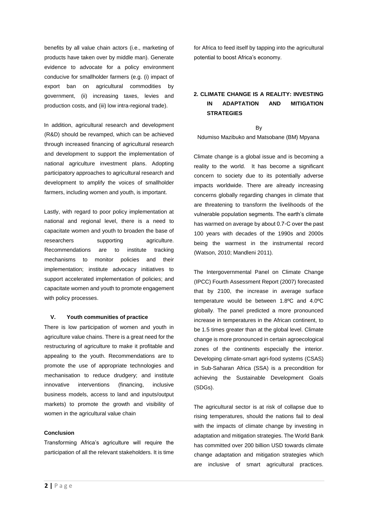benefits by all value chain actors (i.e., marketing of products have taken over by middle man). Generate evidence to advocate for a policy environment conducive for smallholder farmers (e.g. (i) impact of export ban on agricultural commodities by government, (ii) increasing taxes, levies and production costs, and (iii) low intra-regional trade).

In addition, agricultural research and development (R&D) should be revamped, which can be achieved through increased financing of agricultural research and development to support the implementation of national agriculture investment plans. Adopting participatory approaches to agricultural research and development to amplify the voices of smallholder farmers, including women and youth, is important.

Lastly, with regard to poor policy implementation at national and regional level, there is a need to capacitate women and youth to broaden the base of researchers supporting agriculture. Recommendations are to institute tracking mechanisms to monitor policies and their implementation; institute advocacy initiatives to support accelerated implementation of policies; and capacitate women and youth to promote engagement with policy processes.

### **V. Youth communities of practice**

There is low participation of women and youth in agriculture value chains. There is a great need for the restructuring of agriculture to make it profitable and appealing to the youth. Recommendations are to promote the use of appropriate technologies and mechanisation to reduce drudgery; and institute innovative interventions (financing, inclusive business models, access to land and inputs/output markets) to promote the growth and visibility of women in the agricultural value chain

#### **Conclusion**

Transforming Africa's agriculture will require the participation of all the relevant stakeholders. It is time for Africa to feed itself by tapping into the agricultural potential to boost Africa's economy.

## **2. CLIMATE CHANGE IS A REALITY: INVESTING IN ADAPTATION AND MITIGATION STRATEGIES**

By

#### Ndumiso Mazibuko and Matsobane (BM) Mpyana

Climate change is a global issue and is becoming a reality to the world. It has become a significant concern to society due to its potentially adverse impacts worldwide. There are already increasing concerns globally regarding changes in climate that are threatening to transform the livelihoods of the vulnerable population segments. The earth's climate has warmed on average by about 0.7◦C over the past 100 years with decades of the 1990s and 2000s being the warmest in the instrumental record (Watson, 2010; Mandleni 2011).

The Intergovernmental Panel on Climate Change (IPCC) Fourth Assessment Report (2007) forecasted that by 2100, the increase in average surface temperature would be between 1.8ºC and 4.0ºC globally. The panel predicted a more pronounced increase in temperatures in the African continent, to be 1.5 times greater than at the global level. Climate change is more pronounced in certain agroecological zones of the continents especially the interior. Developing climate-smart agri-food systems (CSAS) in Sub-Saharan Africa (SSA) is a precondition for achieving the Sustainable Development Goals (SDGs).

The agricultural sector is at risk of collapse due to rising temperatures, should the nations fail to deal with the impacts of climate change by investing in adaptation and mitigation strategies. The World Bank has committed over 200 billion USD towards climate change adaptation and mitigation strategies which are inclusive of smart agricultural practices.